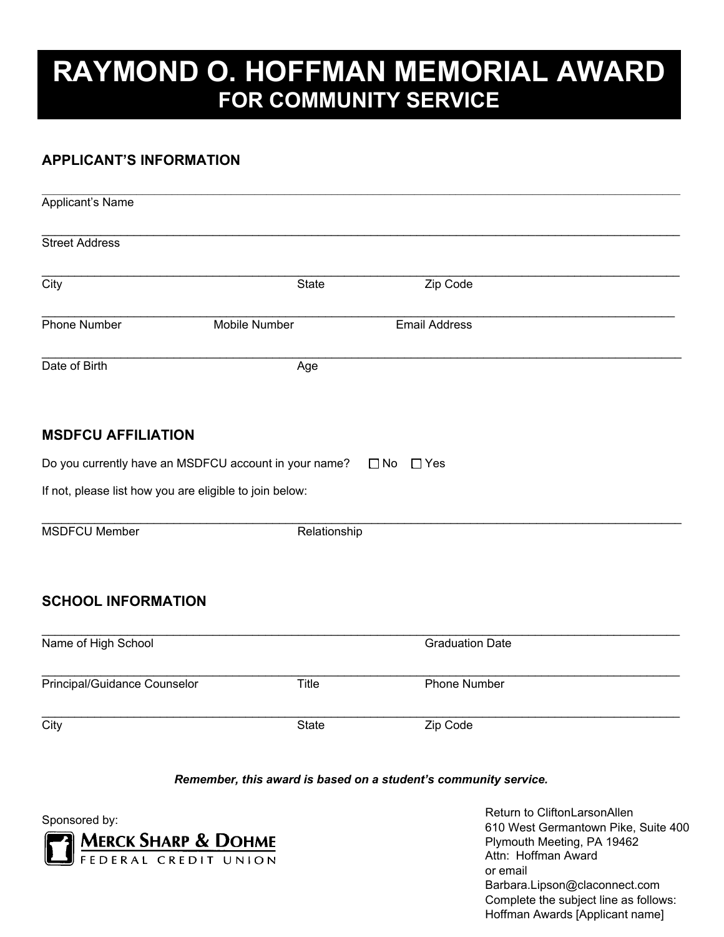# **RAYMOND O. HOFFMAN MEMORIAL AWARD FOR COMMUNITY SERVICE**

### **APPLICANT'S INFORMATION**

| Applicant's Name                                        |                                                       |                        |  |  |  |  |  |
|---------------------------------------------------------|-------------------------------------------------------|------------------------|--|--|--|--|--|
| <b>Street Address</b>                                   |                                                       |                        |  |  |  |  |  |
| City                                                    | <b>State</b>                                          | Zip Code               |  |  |  |  |  |
| <b>Phone Number</b>                                     | Mobile Number                                         | <b>Email Address</b>   |  |  |  |  |  |
| Date of Birth                                           | Age                                                   |                        |  |  |  |  |  |
| <b>MSDFCU AFFILIATION</b>                               |                                                       |                        |  |  |  |  |  |
|                                                         | Do you currently have an MSDFCU account in your name? | $\Box$ No $\Box$ Yes   |  |  |  |  |  |
| If not, please list how you are eligible to join below: |                                                       |                        |  |  |  |  |  |
| <b>MSDFCU Member</b>                                    | Relationship                                          |                        |  |  |  |  |  |
| <b>SCHOOL INFORMATION</b>                               |                                                       |                        |  |  |  |  |  |
| Name of High School                                     |                                                       | <b>Graduation Date</b> |  |  |  |  |  |
| Principal/Guidance Counselor                            | Title                                                 | <b>Phone Number</b>    |  |  |  |  |  |
| $\overline{C}$ ity                                      | <b>State</b>                                          | Zip Code               |  |  |  |  |  |

#### *Remember, this award is based on a student's community service.*

Sponsored by:



Return to CliftonLarsonAllen 610 West Germantown Pike, Suite 400 Plymouth Meeting, PA 19462 Attn: Hoffman Award or email Barbara.Lipson@claconnect.com Complete the subject line as follows: Hoffman Awards [Applicant name]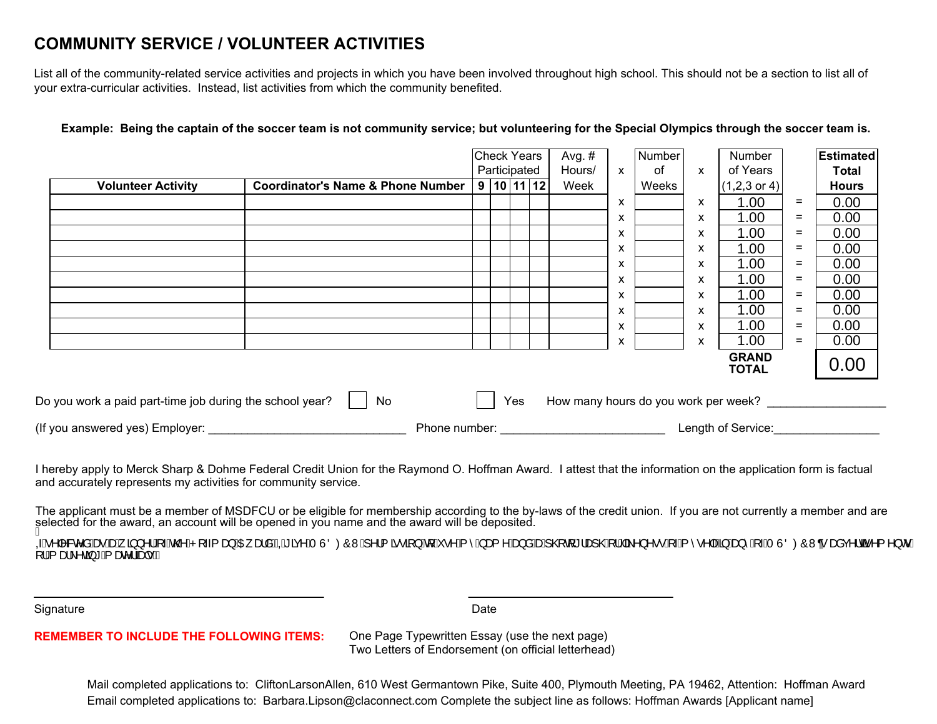## **COMMUNITY SERVICE / VOLUNTEER ACTIVITIES**

List all of the community-related service activities and projects in which you have been involved throughout high school. This should not be a section to list all of your extra-curricular activities. Instead, list activities from which the community benefited.

|                                                                |                                              |               | <b>Check Years</b> |  |     | Avg. $#$                             |   | Number |   | Number                       |     | <b>Estimated</b> |
|----------------------------------------------------------------|----------------------------------------------|---------------|--------------------|--|-----|--------------------------------------|---|--------|---|------------------------------|-----|------------------|
|                                                                |                                              |               | Participated       |  |     | Hours/                               | X | 0f     | X | of Years                     |     | Total            |
| <b>Volunteer Activity</b>                                      | <b>Coordinator's Name &amp; Phone Number</b> |               | 9 10 11 12         |  |     | Week                                 |   | Weeks  |   | $(1,2,3 \text{ or } 4)$      |     | <b>Hours</b>     |
|                                                                |                                              |               |                    |  |     |                                      | x |        | X | 1.00                         | =   | 0.00             |
|                                                                |                                              |               |                    |  |     |                                      | X |        | X | 1.00                         | $=$ | 0.00             |
|                                                                |                                              |               |                    |  |     |                                      | X |        | X | 1.00                         | $=$ | 0.00             |
|                                                                |                                              |               |                    |  |     |                                      | x |        | X | 1.00                         | $=$ | 0.00             |
|                                                                |                                              |               |                    |  |     |                                      | x |        | х | 1.00                         | $=$ | 0.00             |
|                                                                |                                              |               |                    |  |     |                                      | X |        | X | 1.00                         | $=$ | 0.00             |
|                                                                |                                              |               |                    |  |     |                                      | X |        | X | 1.00                         | $=$ | 0.00             |
|                                                                |                                              |               |                    |  |     |                                      | X |        | X | 1.00                         | $=$ | 0.00             |
|                                                                |                                              |               |                    |  |     |                                      | x |        | X | 1.00                         | $=$ | 0.00             |
|                                                                |                                              |               |                    |  |     |                                      | X |        | X | 1.00                         | $=$ | 0.00             |
|                                                                |                                              |               |                    |  |     |                                      |   |        |   | <b>GRAND</b><br><b>TOTAL</b> |     | 0.00             |
| Do you work a paid part-time job during the school year?<br>No |                                              |               |                    |  | Yes | How many hours do you work per week? |   |        |   |                              |     |                  |
| (If you answered yes) Employer:                                |                                              | Phone number: | Length of Service: |  |     |                                      |   |        |   |                              |     |                  |

**Example: Being the captain of the soccer team is not community service; but volunteering for the Special Olympics through the soccer team is.**

II hereby apply to Merck Sharp & Dohme Federal Credit Union for the Raymond O. Hoffman Award. I attest that the information on the application form is factual<br>and accurately represents my activities for community service and accurately represents my activities for community service.

The applicant must be a member of MSDFCU or be eligible for membership according to the by-laws of the credit union. If you are not currently a member and are<br>calcrived for the guard are assembled in the granad in you name selected for the award, an account will be opened in you name and the award will be deposited.<br>A

QÁ^|^&c^åÁærÁænÁ}^¦ÁrÁn@ÁP[~{æ}ÁDĘælåÉÁQKãç^ÁTÙÖØÔWÁj^¦{ã∙ã{}Áq{Ár^Ár^ÁæqåÁænÁj@q{\*¦æ}@Á¦¦Áã^}^••Á;√Ár^•^|√S}Áæ}^Á;√ATÙÖØÔWoræåç^¦œã^{^}orÁ<br>[¦Áræl\^cã\*Áræe^¦ãæn+EÄ

Signature Date **Date** 

#### **REMEMBER TO INCLUDE THE FOLLOWING ITEMS:**

**TO INCLUDE TO INCLUDE THE PAGE TYPEWRItten Essay (use the next page)** Two Letters of Endorsement (on official letterhead)

Mail completed applications to: CliftonLarsonAllen, 610 West Germantown Pike, Suite 400, Plymouth Meeting, PA 19462, Attention: Hoffman AwardEmail completed applications to: Barbara.Lipson@claconnect.com Complete the subject line as follows: Hoffman Awards [Applicant name]